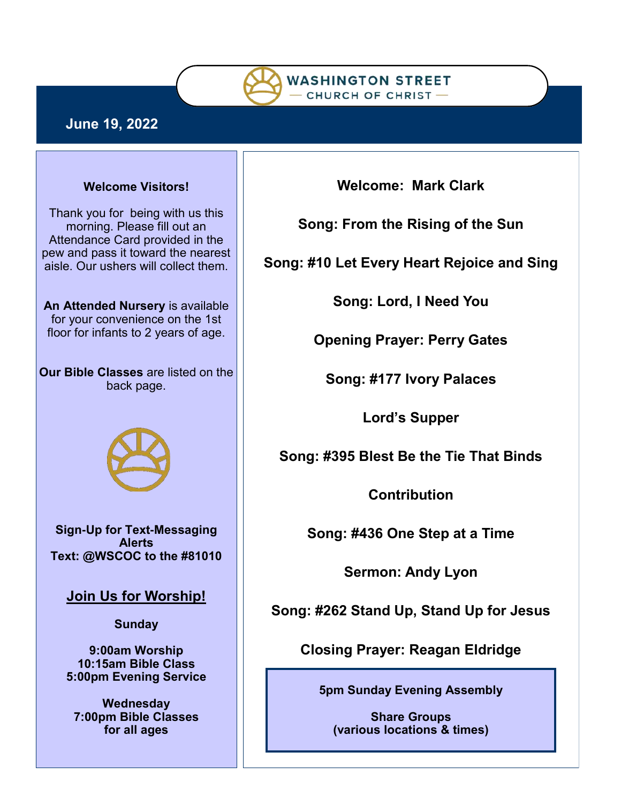

# **June 19, 2022**

### **Welcome Visitors!**

Thank you for being with us this morning. Please fill out an Attendance Card provided in the pew and pass it toward the nearest aisle. Our ushers will collect them.

**An Attended Nursery** is available for your convenience on the 1st floor for infants to 2 years of age.

**Our Bible Classes** are listed on the back page.



**Sign-Up for Text-Messaging Alerts Text: @WSCOC to the #81010** 

**Join Us for Worship!**

**Sunday**

**9:00am Worship 10:15am Bible Class 5:00pm Evening Service**

**Wednesday 7:00pm Bible Classes for all ages**

**Welcome: Mark Clark**

**Song: From the Rising of the Sun**

**Song: #10 Let Every Heart Rejoice and Sing**

**Song: Lord, I Need You**

**Opening Prayer: Perry Gates**

**Song: #177 Ivory Palaces**

**Lord's Supper**

**Song: #395 Blest Be the Tie That Binds**

**Contribution**

**Song: #436 One Step at a Time**

**Sermon: Andy Lyon**

**Song: #262 Stand Up, Stand Up for Jesus**

**Closing Prayer: Reagan Eldridge**

**5pm Sunday Evening Assembly** 

**Share Groups (various locations & times)**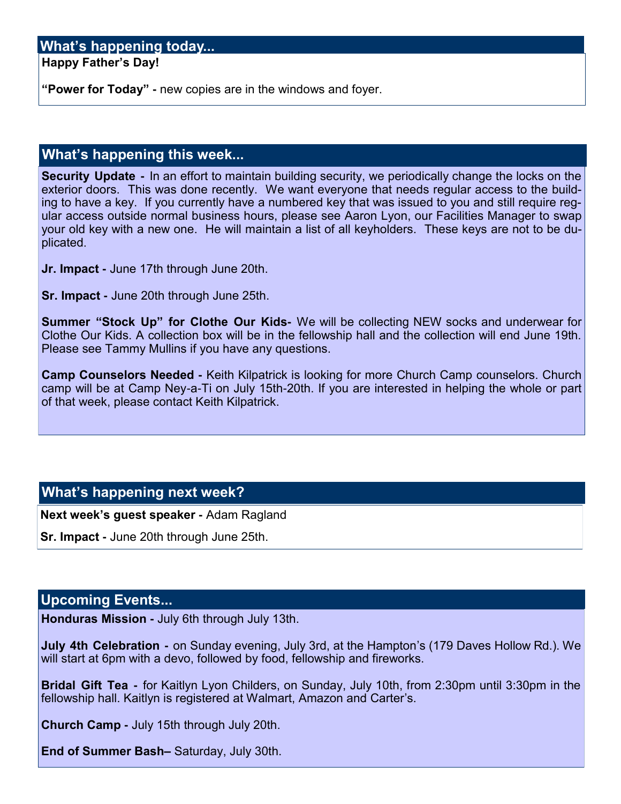# **What's happening today...**

**Happy Father's Day!**

**"Power for Today" -** new copies are in the windows and foyer.

# **What's happening this week...**

**Security Update -** In an effort to maintain building security, we periodically change the locks on the exterior doors. This was done recently. We want everyone that needs regular access to the building to have a key. If you currently have a numbered key that was issued to you and still require regular access outside normal business hours, please see Aaron Lyon, our Facilities Manager to swap your old key with a new one. He will maintain a list of all keyholders. These keys are not to be duplicated.

**Jr. Impact -** June 17th through June 20th.

**Sr. Impact -** June 20th through June 25th.

**Summer "Stock Up" for Clothe Our Kids-** We will be collecting NEW socks and underwear for Clothe Our Kids. A collection box will be in the fellowship hall and the collection will end June 19th. Please see Tammy Mullins if you have any questions.

**Camp Counselors Needed -** Keith Kilpatrick is looking for more Church Camp counselors. Church camp will be at Camp Ney-a-Ti on July 15th-20th. If you are interested in helping the whole or part of that week, please contact Keith Kilpatrick.

# **What's happening next week?**

**Next week's guest speaker -** Adam Ragland

**Sr. Impact -** June 20th through June 25th.

### **Upcoming Events...**

**Honduras Mission -** July 6th through July 13th.

**July 4th Celebration -** on Sunday evening, July 3rd, at the Hampton's (179 Daves Hollow Rd.). We will start at 6pm with a devo, followed by food, fellowship and fireworks.

**Bridal Gift Tea -** for Kaitlyn Lyon Childers, on Sunday, July 10th, from 2:30pm until 3:30pm in the fellowship hall. Kaitlyn is registered at Walmart, Amazon and Carter's.

**Church Camp -** July 15th through July 20th.

**End of Summer Bash–** Saturday, July 30th.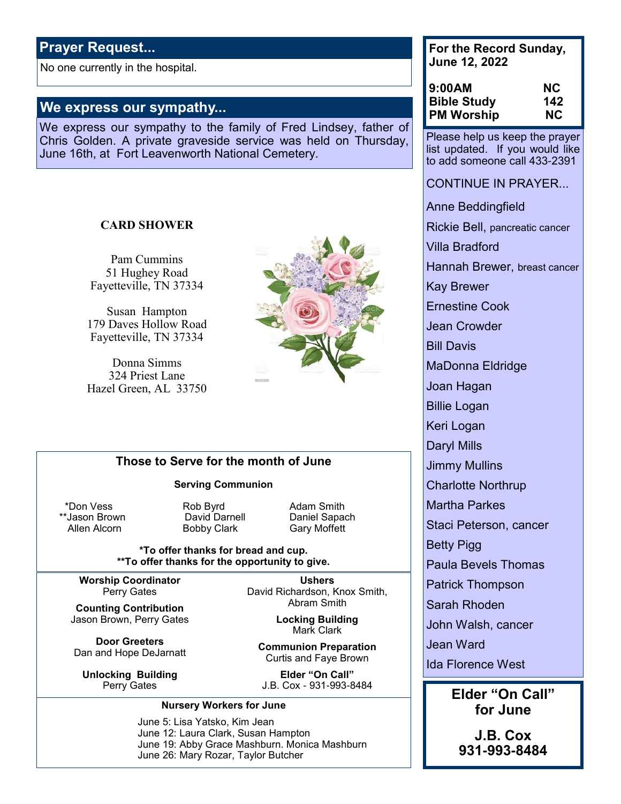# **Prayer Request...**

No one currently in the hospital.

### **We express our sympathy...**

We express our sympathy to the family of Fred Lindsey, father of Chris Golden. A private graveside service was held on Thursday, June 16th, at Fort Leavenworth National Cemetery.

#### **CARD SHOWER**

Pam Cummins 51 Hughey Road Fayetteville, TN 37334

Susan Hampton 179 Daves Hollow Road Fayetteville, TN 37334

Donna Simms 324 Priest Lane Hazel Green, AL 33750



### **Those to Serve for the month of June**

#### **Serving Communion**

Allen Alcorn **Bobby Clark** Gary Moffett

\*Don Vess **Rob Byrd** Adam Smith

\*\*Jason Brown **David Darnell** Daniel Sapach

#### **\*To offer thanks for bread and cup. \*\*To offer thanks for the opportunity to give.**

**Worship Coordinator** Perry Gates

**Counting Contribution** Jason Brown, Perry Gates

**Door Greeters** Dan and Hope DeJarnatt

**Unlocking Building** Perry Gates

**Ushers** David Richardson, Knox Smith, Abram Smith

> **Locking Building** Mark Clark

**Communion Preparation** Curtis and Faye Brown

**Elder "On Call"** J.B. Cox - 931-993-8484

#### **Nursery Workers for June**

June 5: Lisa Yatsko, Kim Jean June 12: Laura Clark, Susan Hampton June 19: Abby Grace Mashburn. Monica Mashburn June 26: Mary Rozar, Taylor Butcher

**For the Record Sunday, June 12, 2022**

| 9:00AM             | <b>NC</b> |
|--------------------|-----------|
| <b>Bible Study</b> | 142       |
| <b>PM Worship</b>  | NC.       |

Please help us keep the prayer list updated. If you would like to add someone call 433-2391

CONTINUE IN PRAYER...

Anne Beddingfield

Rickie Bell, pancreatic cancer

Villa Bradford

Hannah Brewer, breast cancer

Kay Brewer

Ernestine Cook

Jean Crowder

Bill Davis

MaDonna Eldridge

Joan Hagan

Billie Logan

Keri Logan

Daryl Mills

Jimmy Mullins

Charlotte Northrup

Martha Parkes

Staci Peterson, cancer

Betty Pigg

Paula Bevels Thomas

Patrick Thompson

Sarah Rhoden

John Walsh, cancer

Jean Ward

Ida Florence West

**Elder "On Call" for June**

**J.B. Cox 931-993-8484**